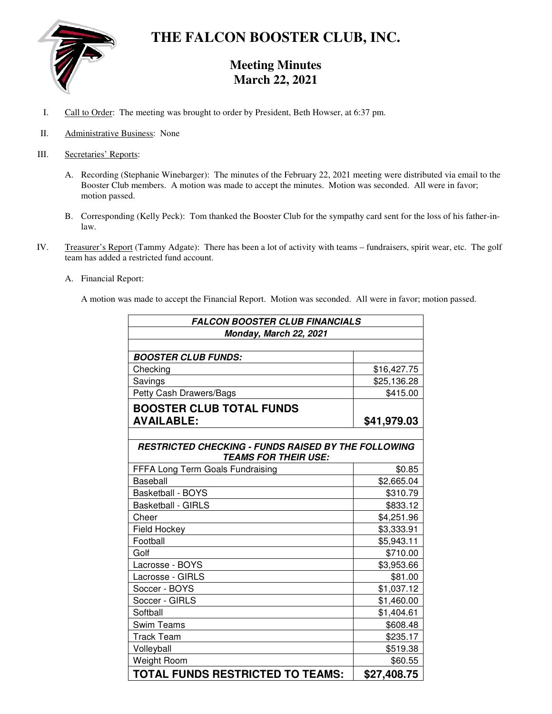

# **THE FALCON BOOSTER CLUB, INC.**

## **Meeting Minutes March 22, 2021**

- I. Call to Order: The meeting was brought to order by President, Beth Howser, at 6:37 pm.
- II. Administrative Business: None
- III. Secretaries' Reports:
	- A. Recording (Stephanie Winebarger): The minutes of the February 22, 2021 meeting were distributed via email to the Booster Club members. A motion was made to accept the minutes. Motion was seconded. All were in favor; motion passed.
	- B. Corresponding (Kelly Peck): Tom thanked the Booster Club for the sympathy card sent for the loss of his father-inlaw.
- IV. Treasurer's Report (Tammy Adgate): There has been a lot of activity with teams fundraisers, spirit wear, etc. The golf team has added a restricted fund account.
	- A. Financial Report:

A motion was made to accept the Financial Report. Motion was seconded. All were in favor; motion passed.

| <b>FALCON BOOSTER CLUB FINANCIALS</b>                      |             |
|------------------------------------------------------------|-------------|
| Monday, March 22, 2021                                     |             |
|                                                            |             |
| <b>BOOSTER CLUB FUNDS:</b>                                 |             |
| Checking                                                   | \$16,427.75 |
| Savings                                                    | \$25,136.28 |
| Petty Cash Drawers/Bags                                    | \$415.00    |
| <b>BOOSTER CLUB TOTAL FUNDS</b>                            |             |
| <b>AVAILABLE:</b>                                          | \$41,979.03 |
|                                                            |             |
| <b>RESTRICTED CHECKING - FUNDS RAISED BY THE FOLLOWING</b> |             |
| <b>TEAMS FOR THEIR USE:</b>                                |             |
| FFFA Long Term Goals Fundraising                           | \$0.85      |
| Baseball                                                   | \$2,665.04  |
| <b>Basketball - BOYS</b>                                   | \$310.79    |
| <b>Basketball - GIRLS</b>                                  | \$833.12    |
| Cheer                                                      | \$4,251.96  |
| <b>Field Hockey</b>                                        | \$3,333.91  |
| Football                                                   | \$5,943.11  |
| Golf                                                       | \$710.00    |
| Lacrosse - BOYS                                            | \$3,953.66  |
| Lacrosse - GIRLS                                           | \$81.00     |
| Soccer - BOYS                                              | \$1,037.12  |
| Soccer - GIRLS                                             | \$1,460.00  |
| Softball                                                   | \$1,404.61  |
| <b>Swim Teams</b>                                          | \$608.48    |
| <b>Track Team</b>                                          | \$235.17    |
| Volleyball                                                 | \$519.38    |
| Weight Room                                                | \$60.55     |
| <b>TOTAL FUNDS RESTRICTED TO TEAMS:</b>                    | \$27,408.75 |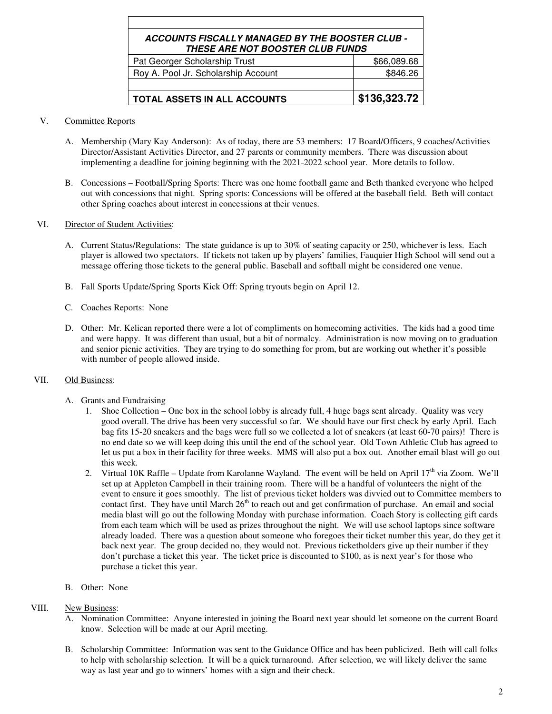| ACCOUNTS FISCALLY MANAGED BY THE BOOSTER CLUB -<br><b>THESE ARE NOT BOOSTER CLUB FUNDS</b> |              |
|--------------------------------------------------------------------------------------------|--------------|
| Pat Georger Scholarship Trust                                                              | \$66,089.68  |
| Roy A. Pool Jr. Scholarship Account                                                        | \$846.26     |
|                                                                                            |              |
| TOTAL ASSETS IN ALL ACCOUNTS                                                               | \$136,323.72 |

#### V. Committee Reports

- A. Membership (Mary Kay Anderson): As of today, there are 53 members: 17 Board/Officers, 9 coaches/Activities Director/Assistant Activities Director, and 27 parents or community members. There was discussion about implementing a deadline for joining beginning with the 2021-2022 school year. More details to follow.
- B. Concessions Football/Spring Sports: There was one home football game and Beth thanked everyone who helped out with concessions that night. Spring sports: Concessions will be offered at the baseball field. Beth will contact other Spring coaches about interest in concessions at their venues.

#### VI. Director of Student Activities:

- A. Current Status/Regulations: The state guidance is up to 30% of seating capacity or 250, whichever is less. Each player is allowed two spectators. If tickets not taken up by players' families, Fauquier High School will send out a message offering those tickets to the general public. Baseball and softball might be considered one venue.
- B. Fall Sports Update/Spring Sports Kick Off: Spring tryouts begin on April 12.
- C. Coaches Reports: None
- D. Other: Mr. Kelican reported there were a lot of compliments on homecoming activities. The kids had a good time and were happy. It was different than usual, but a bit of normalcy. Administration is now moving on to graduation and senior picnic activities. They are trying to do something for prom, but are working out whether it's possible with number of people allowed inside.

### VII. Old Business:

- A. Grants and Fundraising
	- 1. Shoe Collection One box in the school lobby is already full, 4 huge bags sent already. Quality was very good overall. The drive has been very successful so far. We should have our first check by early April. Each bag fits 15-20 sneakers and the bags were full so we collected a lot of sneakers (at least 60-70 pairs)! There is no end date so we will keep doing this until the end of the school year. Old Town Athletic Club has agreed to let us put a box in their facility for three weeks. MMS will also put a box out. Another email blast will go out this week.
	- 2. Virtual 10K Raffle Update from Karolanne Wayland. The event will be held on April  $17<sup>th</sup>$  via Zoom. We'll set up at Appleton Campbell in their training room. There will be a handful of volunteers the night of the event to ensure it goes smoothly. The list of previous ticket holders was divvied out to Committee members to contact first. They have until March 26<sup>th</sup> to reach out and get confirmation of purchase. An email and social media blast will go out the following Monday with purchase information. Coach Story is collecting gift cards from each team which will be used as prizes throughout the night. We will use school laptops since software already loaded. There was a question about someone who foregoes their ticket number this year, do they get it back next year. The group decided no, they would not. Previous ticketholders give up their number if they don't purchase a ticket this year. The ticket price is discounted to \$100, as is next year's for those who purchase a ticket this year.
- B. Other: None
- VIII. New Business:
	- A. Nomination Committee: Anyone interested in joining the Board next year should let someone on the current Board know. Selection will be made at our April meeting.
	- B. Scholarship Committee: Information was sent to the Guidance Office and has been publicized. Beth will call folks to help with scholarship selection. It will be a quick turnaround. After selection, we will likely deliver the same way as last year and go to winners' homes with a sign and their check.